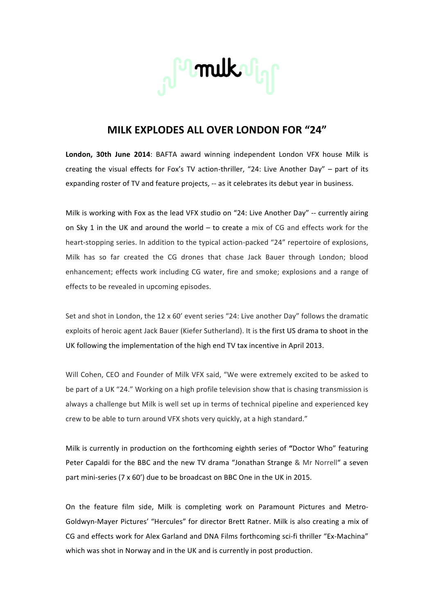

## **MILK EXPLODES!ALL!OVER!LONDON!FOR!"24"**

London, 30th June 2014: BAFTA award winning independent London VFX house Milk is creating the visual effects for Fox's TV action-thriller, "24: Live Another Day" – part of its expanding roster of TV and feature projects, -- as it celebrates its debut year in business.

Milk is working with Fox as the lead VFX studio on "24: Live Another Day" -- currently airing on Sky 1 in the UK and around the world – to create a mix of CG and effects work for the heart-stopping series. In addition to the typical action-packed "24" repertoire of explosions, Milk has so far created the CG drones that chase Jack Bauer through London; blood enhancement; effects work including CG water, fire and smoke; explosions and a range of effects to be revealed in upcoming episodes.

Set and shot in London, the  $12 \times 60'$  event series "24: Live another Day" follows the dramatic exploits of heroic agent Jack Bauer (Kiefer Sutherland). It is the first US drama to shoot in the UK following the implementation of the high end TV tax incentive in April 2013.

Will Cohen, CEO and Founder of Milk VFX said, "We were extremely excited to be asked to be part of a UK "24." Working on a high profile television show that is chasing transmission is always a challenge but Milk is well set up in terms of technical pipeline and experienced key crew to be able to turn around VFX shots very quickly, at a high standard."

Milk is currently in production on the forthcoming eighth series of "Doctor Who" featuring Peter Capaldi for the BBC and the new TV drama "Jonathan Strange & Mr Norrell" a seven part mini-series (7 x 60') due to be broadcast on BBC One in the UK in 2015.

On the feature film side, Milk is completing work on Paramount Pictures and Metro-Goldwyn-Mayer Pictures' "Hercules" for director Brett Ratner. Milk is also creating a mix of CG and effects work for Alex Garland and DNA Films forthcoming sci-fi thriller "Ex-Machina" which was shot in Norway and in the UK and is currently in post production.